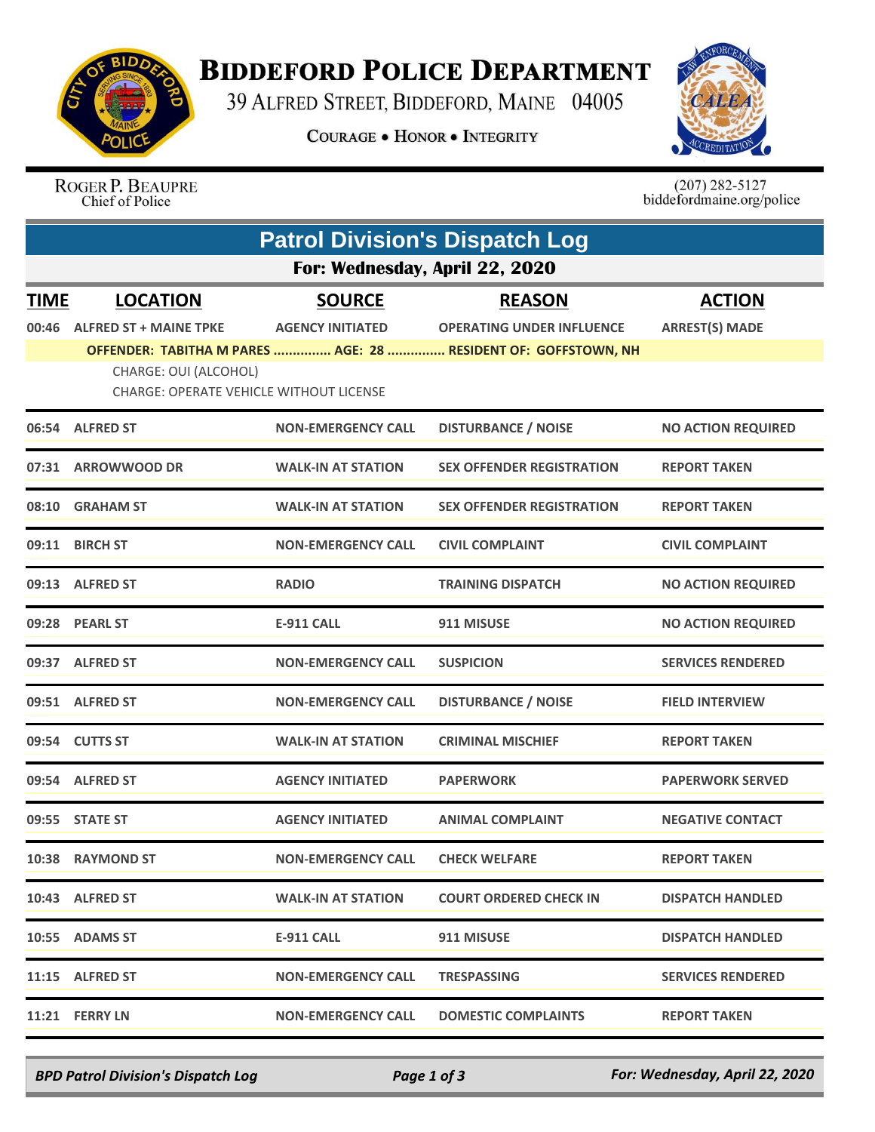

## **BIDDEFORD POLICE DEPARTMENT**

39 ALFRED STREET, BIDDEFORD, MAINE 04005

**COURAGE . HONOR . INTEGRITY** 



ROGER P. BEAUPRE<br>Chief of Police

 $(207)$  282-5127<br>biddefordmaine.org/police

| <b>Patrol Division's Dispatch Log</b> |                                                                         |                           |                                                                |                           |  |  |  |  |
|---------------------------------------|-------------------------------------------------------------------------|---------------------------|----------------------------------------------------------------|---------------------------|--|--|--|--|
| For: Wednesday, April 22, 2020        |                                                                         |                           |                                                                |                           |  |  |  |  |
| <u>TIME</u>                           | <b>LOCATION</b>                                                         | <b>SOURCE</b>             | <b>REASON</b>                                                  | <b>ACTION</b>             |  |  |  |  |
| 00:46                                 | <b>ALFRED ST + MAINE TPKE</b>                                           | <b>AGENCY INITIATED</b>   | <b>OPERATING UNDER INFLUENCE</b>                               | <b>ARREST(S) MADE</b>     |  |  |  |  |
|                                       |                                                                         |                           | OFFENDER: TABITHA M PARES  AGE: 28  RESIDENT OF: GOFFSTOWN, NH |                           |  |  |  |  |
|                                       | CHARGE: OUI (ALCOHOL)<br><b>CHARGE: OPERATE VEHICLE WITHOUT LICENSE</b> |                           |                                                                |                           |  |  |  |  |
|                                       | 06:54 ALFRED ST                                                         | <b>NON-EMERGENCY CALL</b> | <b>DISTURBANCE / NOISE</b>                                     | <b>NO ACTION REQUIRED</b> |  |  |  |  |
|                                       | 07:31 ARROWWOOD DR                                                      | <b>WALK-IN AT STATION</b> | <b>SEX OFFENDER REGISTRATION</b>                               | <b>REPORT TAKEN</b>       |  |  |  |  |
|                                       | 08:10 GRAHAM ST                                                         | <b>WALK-IN AT STATION</b> | <b>SEX OFFENDER REGISTRATION</b>                               | <b>REPORT TAKEN</b>       |  |  |  |  |
| 09:11                                 | <b>BIRCH ST</b>                                                         | <b>NON-EMERGENCY CALL</b> | <b>CIVIL COMPLAINT</b>                                         | <b>CIVIL COMPLAINT</b>    |  |  |  |  |
|                                       | 09:13 ALFRED ST                                                         | <b>RADIO</b>              | <b>TRAINING DISPATCH</b>                                       | <b>NO ACTION REQUIRED</b> |  |  |  |  |
|                                       | 09:28 PEARL ST                                                          | <b>E-911 CALL</b>         | 911 MISUSE                                                     | <b>NO ACTION REQUIRED</b> |  |  |  |  |
|                                       | 09:37 ALFRED ST                                                         | <b>NON-EMERGENCY CALL</b> | <b>SUSPICION</b>                                               | <b>SERVICES RENDERED</b>  |  |  |  |  |
|                                       | 09:51 ALFRED ST                                                         | <b>NON-EMERGENCY CALL</b> | <b>DISTURBANCE / NOISE</b>                                     | <b>FIELD INTERVIEW</b>    |  |  |  |  |
|                                       | 09:54 CUTTS ST                                                          | <b>WALK-IN AT STATION</b> | <b>CRIMINAL MISCHIEF</b>                                       | <b>REPORT TAKEN</b>       |  |  |  |  |
|                                       | 09:54 ALFRED ST                                                         | <b>AGENCY INITIATED</b>   | <b>PAPERWORK</b>                                               | <b>PAPERWORK SERVED</b>   |  |  |  |  |
|                                       | 09:55 STATE ST                                                          | <b>AGENCY INITIATED</b>   | <b>ANIMAL COMPLAINT</b>                                        | <b>NEGATIVE CONTACT</b>   |  |  |  |  |
|                                       | 10:38 RAYMOND ST                                                        | <b>NON-EMERGENCY CALL</b> | <b>CHECK WELFARE</b>                                           | <b>REPORT TAKEN</b>       |  |  |  |  |
|                                       | 10:43 ALFRED ST                                                         | <b>WALK-IN AT STATION</b> | <b>COURT ORDERED CHECK IN</b>                                  | <b>DISPATCH HANDLED</b>   |  |  |  |  |
|                                       | 10:55 ADAMS ST                                                          | <b>E-911 CALL</b>         | 911 MISUSE                                                     | <b>DISPATCH HANDLED</b>   |  |  |  |  |
|                                       | 11:15 ALFRED ST                                                         | <b>NON-EMERGENCY CALL</b> | <b>TRESPASSING</b>                                             | <b>SERVICES RENDERED</b>  |  |  |  |  |
|                                       | 11:21 FERRY LN                                                          | <b>NON-EMERGENCY CALL</b> | <b>DOMESTIC COMPLAINTS</b>                                     | <b>REPORT TAKEN</b>       |  |  |  |  |

*BPD Patrol Division's Dispatch Log Page 1 of 3 For: Wednesday, April 22, 2020*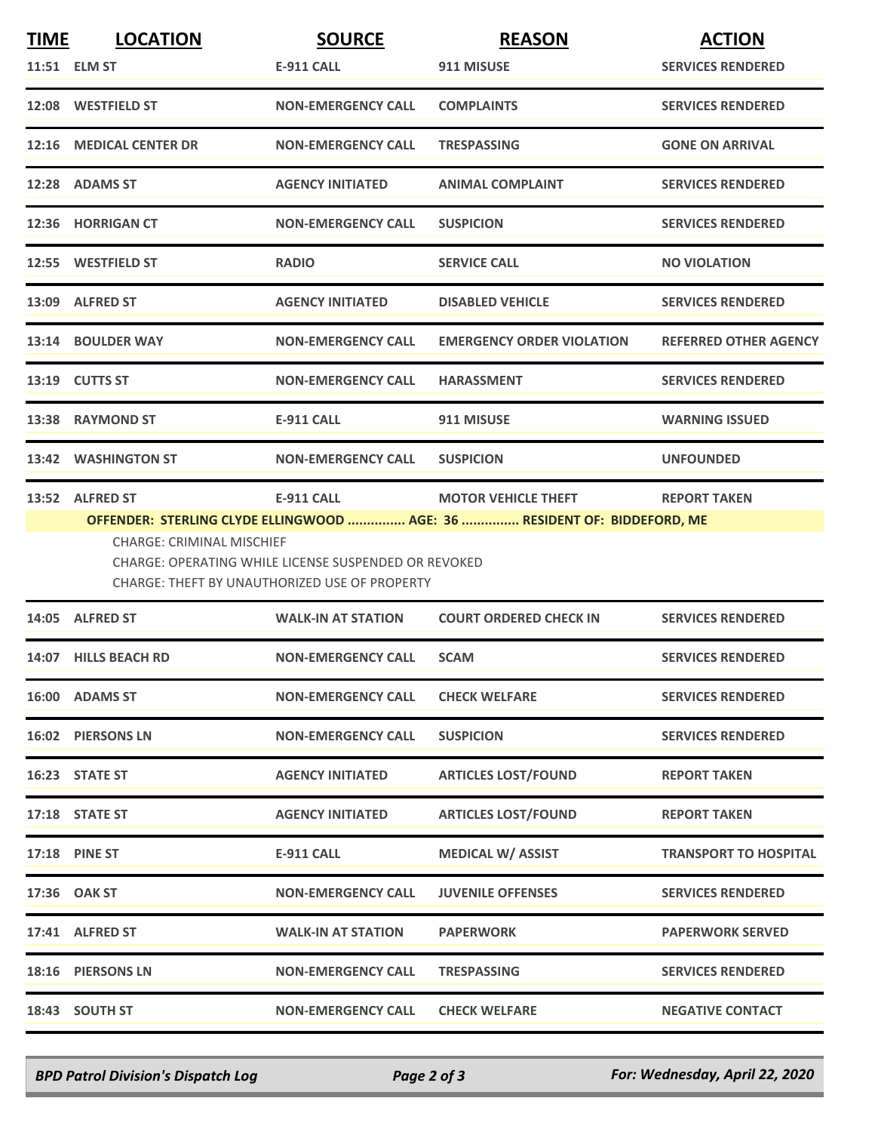| <b>TIME</b> | <b>LOCATION</b>                              | <b>SOURCE</b>                                                                                                       | <b>REASON</b>                                                                                          | <b>ACTION</b>                |
|-------------|----------------------------------------------|---------------------------------------------------------------------------------------------------------------------|--------------------------------------------------------------------------------------------------------|------------------------------|
|             | 11:51 ELM ST                                 | <b>E-911 CALL</b>                                                                                                   | 911 MISUSE                                                                                             | <b>SERVICES RENDERED</b>     |
|             | 12:08 WESTFIELD ST                           | <b>NON-EMERGENCY CALL</b>                                                                                           | <b>COMPLAINTS</b>                                                                                      | <b>SERVICES RENDERED</b>     |
|             | 12:16 MEDICAL CENTER DR                      | <b>NON-EMERGENCY CALL</b>                                                                                           | <b>TRESPASSING</b>                                                                                     | <b>GONE ON ARRIVAL</b>       |
|             | 12:28 ADAMS ST                               | <b>AGENCY INITIATED</b>                                                                                             | <b>ANIMAL COMPLAINT</b>                                                                                | <b>SERVICES RENDERED</b>     |
|             | 12:36 HORRIGAN CT                            | <b>NON-EMERGENCY CALL</b>                                                                                           | <b>SUSPICION</b>                                                                                       | <b>SERVICES RENDERED</b>     |
|             | 12:55 WESTFIELD ST                           | <b>RADIO</b>                                                                                                        | <b>SERVICE CALL</b>                                                                                    | <b>NO VIOLATION</b>          |
|             | 13:09 ALFRED ST                              | <b>AGENCY INITIATED</b>                                                                                             | <b>DISABLED VEHICLE</b>                                                                                | <b>SERVICES RENDERED</b>     |
|             | 13:14 BOULDER WAY                            | <b>NON-EMERGENCY CALL</b>                                                                                           | <b>EMERGENCY ORDER VIOLATION</b>                                                                       | <b>REFERRED OTHER AGENCY</b> |
|             | 13:19 CUTTS ST                               | <b>NON-EMERGENCY CALL</b>                                                                                           | <b>HARASSMENT</b>                                                                                      | <b>SERVICES RENDERED</b>     |
|             | 13:38 RAYMOND ST                             | <b>E-911 CALL</b>                                                                                                   | 911 MISUSE                                                                                             | <b>WARNING ISSUED</b>        |
|             | 13:42 WASHINGTON ST                          | <b>NON-EMERGENCY CALL</b>                                                                                           | <b>SUSPICION</b>                                                                                       | <b>UNFOUNDED</b>             |
|             | 13:52 ALFRED ST<br>CHARGE: CRIMINAL MISCHIEF | E-911 CALL<br>CHARGE: OPERATING WHILE LICENSE SUSPENDED OR REVOKED<br>CHARGE: THEFT BY UNAUTHORIZED USE OF PROPERTY | <b>MOTOR VEHICLE THEFT</b><br>OFFENDER: STERLING CLYDE ELLINGWOOD  AGE: 36  RESIDENT OF: BIDDEFORD, ME | <b>REPORT TAKEN</b>          |
|             | 14:05 ALFRED ST                              | <b>WALK-IN AT STATION</b>                                                                                           | <b>COURT ORDERED CHECK IN</b>                                                                          | <b>SERVICES RENDERED</b>     |
|             | 14:07 HILLS BEACH RD                         | <b>NON-EMERGENCY CALL</b>                                                                                           | <b>SCAM</b>                                                                                            | <b>SERVICES RENDERED</b>     |
|             | 16:00 ADAMS ST                               | <b>NON-EMERGENCY CALL</b>                                                                                           | <b>CHECK WELFARE</b>                                                                                   | <b>SERVICES RENDERED</b>     |
|             | 16:02 PIERSONS LN                            | <b>NON-EMERGENCY CALL</b>                                                                                           | <b>SUSPICION</b>                                                                                       | <b>SERVICES RENDERED</b>     |
|             | 16:23 STATE ST                               | <b>AGENCY INITIATED</b>                                                                                             | <b>ARTICLES LOST/FOUND</b>                                                                             | <b>REPORT TAKEN</b>          |
|             | 17:18 STATE ST                               | <b>AGENCY INITIATED</b>                                                                                             | <b>ARTICLES LOST/FOUND</b>                                                                             | <b>REPORT TAKEN</b>          |
|             | <b>17:18 PINE ST</b>                         | <b>E-911 CALL</b>                                                                                                   | <b>MEDICAL W/ ASSIST</b>                                                                               | <b>TRANSPORT TO HOSPITAL</b> |
|             | 17:36 OAK ST                                 | <b>NON-EMERGENCY CALL</b>                                                                                           | <b>JUVENILE OFFENSES</b>                                                                               | <b>SERVICES RENDERED</b>     |
|             | 17:41 ALFRED ST                              | <b>WALK-IN AT STATION</b>                                                                                           | <b>PAPERWORK</b>                                                                                       | <b>PAPERWORK SERVED</b>      |
|             | 18:16 PIERSONS LN                            | <b>NON-EMERGENCY CALL</b>                                                                                           | <b>TRESPASSING</b>                                                                                     | <b>SERVICES RENDERED</b>     |
|             | 18:43 SOUTH ST                               | <b>NON-EMERGENCY CALL</b>                                                                                           | <b>CHECK WELFARE</b>                                                                                   | <b>NEGATIVE CONTACT</b>      |

*BPD Patrol Division's Dispatch Log Page 2 of 3 For: Wednesday, April 22, 2020*